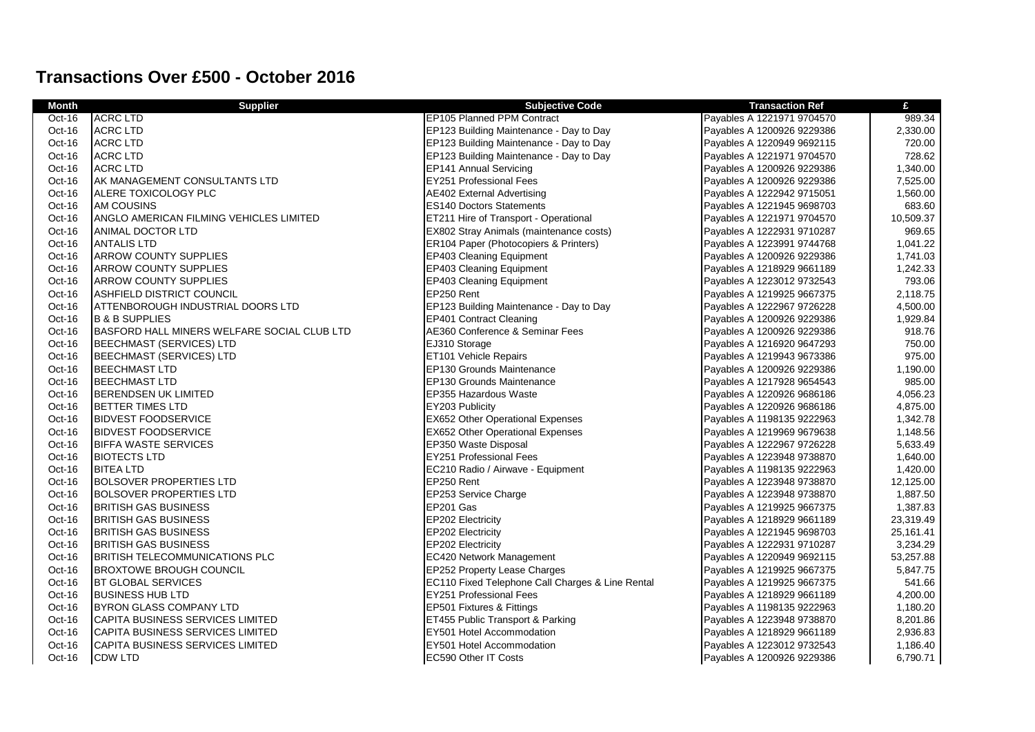## **Transactions Over £500 - October 2016**

| <b>Month</b> | <b>Supplier</b>                             | <b>Subjective Code</b>                           | <b>Transaction Ref</b>     | £         |
|--------------|---------------------------------------------|--------------------------------------------------|----------------------------|-----------|
| $Oct-16$     | <b>ACRC LTD</b>                             | <b>EP105 Planned PPM Contract</b>                | Payables A 1221971 9704570 | 989.34    |
| Oct-16       | <b>ACRC LTD</b>                             | EP123 Building Maintenance - Day to Day          | Payables A 1200926 9229386 | 2,330.00  |
| Oct-16       | <b>ACRC LTD</b>                             | EP123 Building Maintenance - Day to Day          | Payables A 1220949 9692115 | 720.00    |
| Oct-16       | <b>ACRC LTD</b>                             | EP123 Building Maintenance - Day to Day          | Payables A 1221971 9704570 | 728.62    |
| Oct-16       | <b>ACRC LTD</b>                             | <b>EP141 Annual Servicing</b>                    | Payables A 1200926 9229386 | 1,340.00  |
| Oct-16       | AK MANAGEMENT CONSULTANTS LTD               | EY251 Professional Fees                          | Payables A 1200926 9229386 | 7,525.00  |
| Oct-16       | ALERE TOXICOLOGY PLC                        | AE402 External Advertising                       | Payables A 1222942 9715051 | 1,560.00  |
| Oct-16       | AM COUSINS                                  | <b>ES140 Doctors Statements</b>                  | Payables A 1221945 9698703 | 683.60    |
| Oct-16       | ANGLO AMERICAN FILMING VEHICLES LIMITED     | ET211 Hire of Transport - Operational            | Payables A 1221971 9704570 | 10,509.37 |
| Oct-16       | ANIMAL DOCTOR LTD                           | EX802 Stray Animals (maintenance costs)          | Payables A 1222931 9710287 | 969.65    |
| Oct-16       | ANTALIS LTD                                 | ER104 Paper (Photocopiers & Printers)            | Payables A 1223991 9744768 | 1,041.22  |
| Oct-16       | <b>ARROW COUNTY SUPPLIES</b>                | EP403 Cleaning Equipment                         | Payables A 1200926 9229386 | 1,741.03  |
| Oct-16       | <b>ARROW COUNTY SUPPLIES</b>                | EP403 Cleaning Equipment                         | Payables A 1218929 9661189 | 1,242.33  |
| Oct-16       | <b>ARROW COUNTY SUPPLIES</b>                | <b>EP403 Cleaning Equipment</b>                  | Payables A 1223012 9732543 | 793.06    |
| Oct-16       | ASHFIELD DISTRICT COUNCIL                   | EP250 Rent                                       | Payables A 1219925 9667375 | 2,118.75  |
| Oct-16       | ATTENBOROUGH INDUSTRIAL DOORS LTD           | EP123 Building Maintenance - Day to Day          | Payables A 1222967 9726228 | 4,500.00  |
| Oct-16       | <b>B &amp; B SUPPLIES</b>                   | EP401 Contract Cleaning                          | Payables A 1200926 9229386 | 1,929.84  |
| Oct-16       | BASFORD HALL MINERS WELFARE SOCIAL CLUB LTD | AE360 Conference & Seminar Fees                  | Payables A 1200926 9229386 | 918.76    |
| Oct-16       | <b>BEECHMAST (SERVICES) LTD</b>             | EJ310 Storage                                    | Payables A 1216920 9647293 | 750.00    |
| Oct-16       | <b>BEECHMAST (SERVICES) LTD</b>             | ET101 Vehicle Repairs                            | Payables A 1219943 9673386 | 975.00    |
| Oct-16       | <b>BEECHMAST LTD</b>                        | EP130 Grounds Maintenance                        | Payables A 1200926 9229386 | 1,190.00  |
| Oct-16       | <b>BEECHMAST LTD</b>                        | EP130 Grounds Maintenance                        | Payables A 1217928 9654543 | 985.00    |
| Oct-16       | <b>BERENDSEN UK LIMITED</b>                 | EP355 Hazardous Waste                            | Payables A 1220926 9686186 | 4,056.23  |
| Oct-16       | <b>BETTER TIMES LTD</b>                     | EY203 Publicity                                  | Payables A 1220926 9686186 | 4,875.00  |
| Oct-16       | <b>BIDVEST FOODSERVICE</b>                  | EX652 Other Operational Expenses                 | Payables A 1198135 9222963 | 1,342.78  |
| Oct-16       | <b>BIDVEST FOODSERVICE</b>                  | EX652 Other Operational Expenses                 | Payables A 1219969 9679638 | 1,148.56  |
| Oct-16       | <b>BIFFA WASTE SERVICES</b>                 | EP350 Waste Disposal                             | Payables A 1222967 9726228 | 5,633.49  |
| Oct-16       | <b>BIOTECTS LTD</b>                         | <b>EY251 Professional Fees</b>                   | Payables A 1223948 9738870 | 1,640.00  |
| Oct-16       | <b>BITEA LTD</b>                            | EC210 Radio / Airwave - Equipment                | Payables A 1198135 9222963 | 1,420.00  |
| Oct-16       | <b>BOLSOVER PROPERTIES LTD</b>              | EP250 Rent                                       | Payables A 1223948 9738870 | 12,125.00 |
| Oct-16       | <b>BOLSOVER PROPERTIES LTD</b>              | EP253 Service Charge                             | Payables A 1223948 9738870 | 1,887.50  |
| Oct-16       | <b>BRITISH GAS BUSINESS</b>                 | EP201 Gas                                        | Payables A 1219925 9667375 | 1,387.83  |
| Oct-16       | <b>BRITISH GAS BUSINESS</b>                 | EP202 Electricity                                | Payables A 1218929 9661189 | 23,319.49 |
| Oct-16       | <b>BRITISH GAS BUSINESS</b>                 | EP202 Electricity                                | Payables A 1221945 9698703 | 25,161.41 |
| Oct-16       | <b>BRITISH GAS BUSINESS</b>                 | EP202 Electricity                                | Payables A 1222931 9710287 | 3,234.29  |
| Oct-16       | <b>BRITISH TELECOMMUNICATIONS PLC</b>       | EC420 Network Management                         | Payables A 1220949 9692115 | 53,257.88 |
| Oct-16       | <b>BROXTOWE BROUGH COUNCIL</b>              | EP252 Property Lease Charges                     | Payables A 1219925 9667375 | 5,847.75  |
| Oct-16       | <b>BT GLOBAL SERVICES</b>                   | EC110 Fixed Telephone Call Charges & Line Rental | Payables A 1219925 9667375 | 541.66    |
| Oct-16       | <b>BUSINESS HUB LTD</b>                     | <b>EY251 Professional Fees</b>                   | Payables A 1218929 9661189 | 4,200.00  |
| Oct-16       | <b>BYRON GLASS COMPANY LTD</b>              | EP501 Fixtures & Fittings                        | Payables A 1198135 9222963 | 1,180.20  |
| Oct-16       | CAPITA BUSINESS SERVICES LIMITED            | ET455 Public Transport & Parking                 | Payables A 1223948 9738870 | 8,201.86  |
| Oct-16       | CAPITA BUSINESS SERVICES LIMITED            | EY501 Hotel Accommodation                        | Payables A 1218929 9661189 | 2,936.83  |
| Oct-16       | CAPITA BUSINESS SERVICES LIMITED            | EY501 Hotel Accommodation                        | Payables A 1223012 9732543 | 1,186.40  |
| Oct-16       | <b>CDW LTD</b>                              | EC590 Other IT Costs                             | Payables A 1200926 9229386 | 6,790.71  |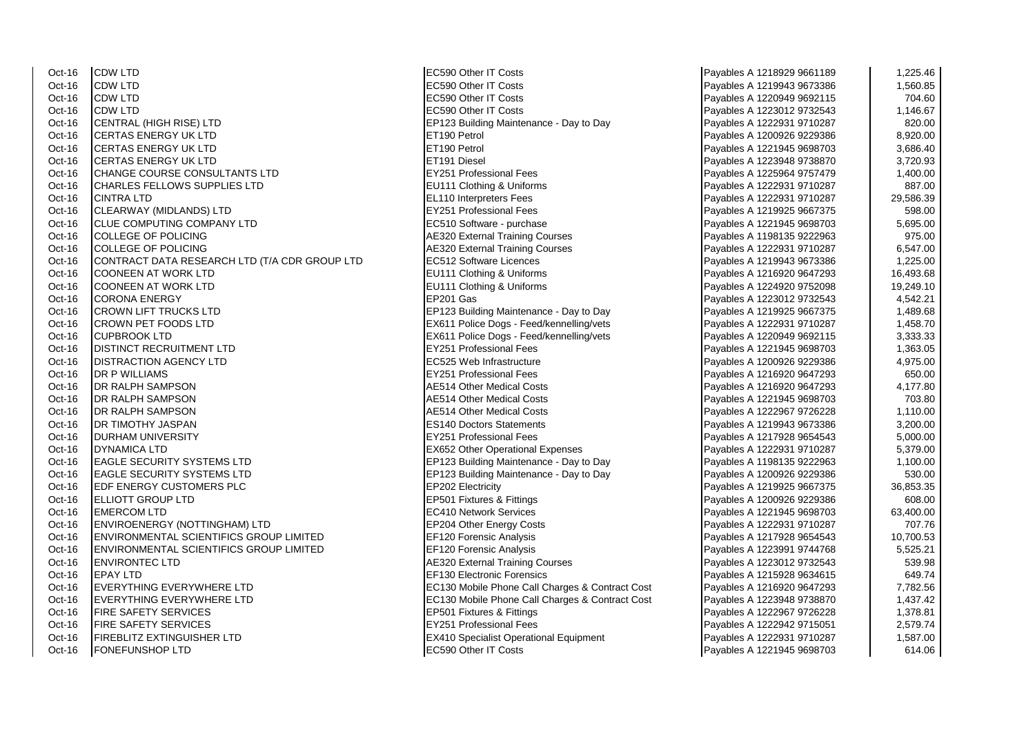Oct-16 CDW LTD EC590 Other IT Costs Payables A 1218929 9661189 1,225.46 Oct-16 CDW LTD EC590 Other IT Costs Payables A 1219943 9673386 1,560.85 Oct-16 CDW LTD EC590 Other IT Costs Payables A 1220949 9692115 704.60 Oct-16 CDW LTD EC590 Other IT Costs Payables A 1223012 9732543 1,146.67 Oct-16 CENTRAL (HIGH RISE) LTD EP123 Building Maintenance - Day to Day Oct-16 CERTAS ENERGY UK LTD ET190 Petrol Payables A 1200 Petrol Payables A 1200 Petrol Payables A 1200 Petrol Payables A 1200 Petrol Payables A 1200 Petrol Payables A 1200 Petrol Payables A 1200 Petrol Payables A 1200 Petr Oct-16 CERTAS ENERGY UK LTD<br>Oct-16 CERTAS ENERGY UK LTD ET191 Diesel Oct-16 CERTAS ENERGY UK LTD ET191 Diesel Payables A 1223948 9738870 3,720.93 Oct-16 CHANGE COURSE CONSULTANTS LTD EXAMPLE PROPERTY EXAMPLE PROFESSIONAL Fees Oct-16 CHARLES FELLOWS SUPPLIES LTD EU111 Clothing & Uniforms Oct-16 CINTRA LTD **EL110** Interpreters Fees Oct-16 CLEARWAY (MIDLANDS) LTD Contract COMPANY ITD Contract COMPANY ITD Contract COMPANY ITD Contract COMPANY ITD Contract COMPANY ITD Contract COMPANY ITD Contract COMPANY ITD Contract COMPANY ITD Contract COMPANY ITD Co Oct-16 CLUE COMPUTING COMPANY LTD<br>Oct-16 COLLEGE OF POLICING Oct-16 COLLEGE OF POLICING<br>Oct-16 CONTRACT DATA RESEARCH I TD (T/A CDR GROUP I TD FC512 Software Licences CONTRACT DATA RESEARCH LTD (T/A CDR GROUP LTD Oct-16 COONEEN AT WORK LTD **EU111 Clothing & Uniforms** Oct-16 COONEEN AT WORK LTD Cothing & Uniforms Payables A 1224920 1224920 975201 975201 975201 975201 975201 975<br>Payable Represent A 1224920 975201 975201 9752010 9752010 9752010 9752010 9752010 9752010 9752010 9752010 9752 Oct-16 CORONA ENERGY EP201 Gas Payables A 1223012 9732543 4,542.21 Oct-16 CROWN LIFT TRUCKS LTD EP123 Building Maintenance - Day to Day Oct-16 CROWN PET FOODS LTD EX611 Police Dogs - Feed/kennelling/vets Oct-16 CUPBROOK LTD EX611 Police Dogs - Feed/kennelling/vets<br>Oct-16 DISTINCT RECRUITMENT I TD Oct-16 DISTINCT RECRUITMENT LTD EXAMPLE TO RECRUIT A 1225.05 Professional Fees<br>Payable Recruit District A 1221 1,363.053 1,363.054 1,475.054 1,475.054 1,475.054 1,475.054 1,475.054 1,475.05 Oct-16 DISTRACTION AGENCY LTD Oct-16 DR P WILLIAMS EY251 Professional Fees Payables A 1216920 9647293 650.00 Oct-16 DR RALPH SAMPSON AESTA 2016 2017 12:00 1216920 9647293 AF514 Other Medical Costs Oct-16 DR RALPH SAMPSON AE514 Other Medical Costs Payables A 122194 9698703 703.8013 9698703 703.801 Oct-16 DR RALPH SAMPSON AE514 Other Medical Costs Payables A 1222967 97267 97267 97267 97267 9726 Oct-16 **DR TIMOTHY JASPAN ESTATE RESTANDING A 1219943 96733994** ES140 Doctors Statements Oct-16 DURHAM UNIVERSITY EY251 Professional Fees Payables A 1217928 9654543 5,000.00 Oct-16 DYNAMICA LTD **EX652** Other Operational Expenses Oct-16 EAGLE SECURITY SYSTEMS LTD EP123 Building Maintenance - Day to Day Oct-16 EAGLE SECURITY SYSTEMS LTD EXAMPLE P123 Building Maintenance - Day to Day Oct-16 EDF ENERGY CUSTOMERS PLC EP202 Electricity Oct-16 ELLIOTT GROUP LTD EP501 Fixtures & Fittings Payable Research Control of the EP501 Fixtures & Fittings P<br>Payable Research International Services A 1200926 922936 609.000 1200926 609.000 1200926 609.000 1200926 609.0 Oct-16 EMERCOM LTD EC410 Network Services Payables A 1221945 9698703 63,400.00 Oct-16 ENVIROENERGY (NOTTINGHAM) LTD EP204 Other Energy Costs Oct-16 ENVIRONMENTAL SCIENTIFICS GROUP LIMITED EF120 Forensic Analysis Oct-16 ENVIRONMENTAL SCIENTIFICS GROUP LIMITED EF120 Forensic Analysis Oct-16 ENVIRONTEC LTD AE320 External Training Courses Payables A 1223012 973254 5320 External Training Courses<br>Oct-16 FPAY I TD Oct-16 EVERYTHING EVERYWHERE LTD EC130 Mobile Phone Call Charges & Contract Cost Oct-16 EVERYTHING EVERYWHERE LTD EXAMPLE A 12230 Mobile Phone Call Charges & Contract Cost Oct-16 FIRE SAFETY SERVICES Entertainment of the SAFETY SERVICES Oct-16 FIRE SAFETY SERVICES EXAMPLE THE SAFETY SERVICES PAYABLE A 122251 Professional Fees Oct-16 FIREBLITZ EXTINGUISHER LTD EXALL THE RESERVE RESERVE EXAMPLE EXAMPLE PAYABLES A 1222931 PAYABLES A 122 Oct-16 FONEFUNSHOP LTD **EXECUTE A 1221945 9699** Costs Payable BEC590 Other IT Costs

**AE320 External Training Courses EF130 Electronic Forensics** 

| Payables A 1218929 9661189 | 1,225.46  |
|----------------------------|-----------|
| Payables A 1219943 9673386 | 1,560.85  |
| Payables A 1220949 9692115 | 704.60    |
| Payables A 1223012 9732543 | 1,146.67  |
| Payables A 1222931 9710287 | 820.00    |
| Payables A 1200926 9229386 | 8,920.00  |
| Payables A 1221945 9698703 | 3,686.40  |
| Payables A 1223948 9738870 | 3,720.93  |
| Payables A 1225964 9757479 | 1,400.00  |
| Payables A 1222931 9710287 | 887.00    |
| Payables A 1222931 9710287 | 29,586.39 |
| Payables A 1219925 9667375 | 598.00    |
| Payables A 1221945 9698703 | 5,695.00  |
| Payables A 1198135 9222963 | 975.00    |
| Payables A 1222931 9710287 | 6,547.00  |
| Payables A 1219943 9673386 | 1,225.00  |
| Payables A 1216920 9647293 | 16,493.68 |
| Payables A 1224920 9752098 | 19,249.10 |
| Payables A 1223012 9732543 | 4,542.21  |
| Payables A 1219925 9667375 | 1,489.68  |
| Payables A 1222931 9710287 | 1,458.70  |
| Payables A 1220949 9692115 | 3,333.33  |
| Payables A 1221945 9698703 | 1,363.05  |
| Payables A 1200926 9229386 | 4,975.00  |
| Payables A 1216920 9647293 | 650.00    |
| Payables A 1216920 9647293 | 4,177.80  |
| Payables A 1221945 9698703 | 703.80    |
| Payables A 1222967 9726228 | 1,110.00  |
| Payables A 1219943 9673386 | 3,200.00  |
| Payables A 1217928 9654543 | 5,000.00  |
| Payables A 1222931 9710287 | 5,379.00  |
| Payables A 1198135 9222963 | 1,100.00  |
| Payables A 1200926 9229386 | 530.00    |
| Payables A 1219925 9667375 | 36,853.35 |
| Payables A 1200926 9229386 | 608.00    |
| Payables A 1221945 9698703 | 63,400.00 |
| Payables A 1222931 9710287 | 707.76    |
| Payables A 1217928 9654543 | 10,700.53 |
| Payables A 1223991 9744768 | 5,525.21  |
| Payables A 1223012 9732543 | 539.98    |
| Payables A 1215928 9634615 | 649.74    |
| Payables A 1216920 9647293 | 7,782.56  |
| Payables A 1223948 9738870 | 1,437.42  |
| Payables A 1222967 9726228 | 1,378.81  |
| Payables A 1222942 9715051 | 2,579.74  |
| Payables A 1222931 9710287 | 1,587.00  |
| Payables A 1221945 9698703 | 614.06    |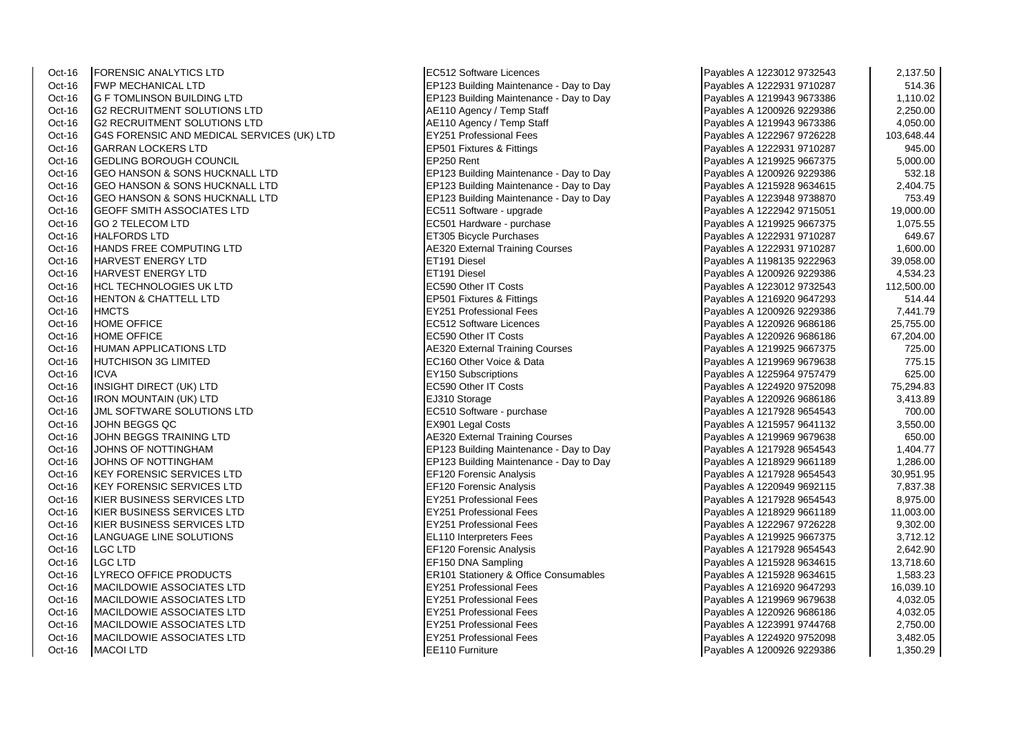Oct-16 | FORENSIC ANALYTICS LTD | EC512 Software Licences | EC512 Software Licences | eC512 Software Licences | Oct-16 FWP MECHANICAL LTD EP123 Building Maintenance - Day to Day<br>Oct-16 G F TOMI INSON BUILDING I TD EXAMPLE EP123 Building Maintenance - Day to Day Oct-16 G2 RECRUITMENT SOLUTIONS LTD Annual AE110 Agency / Temp Staff Oct-16 G2 RECRUITMENT SOLUTIONS LTD<br>Oct-16 G4S FORENSIC AND MEDICAL SERVICES (UK) LTD EY251 Professional Fees Oct-16 G4S FORENSIC AND MEDICAL SERVICES (UK) LTD EY251 Professional Fees<br>Oct-16 GARRAN LOCKERS LTD external and the EP501 Fixtures & Fittings Oct-16 GARRAN LOCKERS LTD EP501 Fixtures & Fittings Payables A 1222931 9710287 945.00 Oct-16 GEDLING BOROUGH COUNCIL<br>Oct-16 GEO HANSON & SONS HUCKNALL LTD **FRAGIUS 1219925 1667123** Buildi Oct-16 GEO HANSON & SONS HUCKNALL LTD EP123 Building Maintenance - Day to Day Oct-16 GEO HANSON & SONS HUCKNALL LTD EP123 Building Maintenance - Day to Day Oct-16 GEOFF SMITH ASSOCIATES LTD<br>Oct-16 GO 2 TFI FCOM I TD Oct-16 GO 2 TELECOM LTD EC501 Hardware - purchase Payables A 1219925 96674 Payables A 1219925 96674 Payables A<br>Payable Payables A 1219925 967375 967375 1,075.555 1,075.555 1,075.555 1,075.555 1,075.5556 1,075.555 1,075.55 Oct-16 HANDS FREE COMPUTING LTD AE320 External Training Courses A 12229 External Training Courses Payables A 12229 External Training Courses Oct-16 HARVEST ENERGY LTD ET191 Diesel Payables A 1198135 9222963 39,058.00 Oct-16 HARVEST ENERGY LTD ET191 Diesel Payables A 1200926 9229386 4,534.23 Oct-16 HCL TECHNOLOGIES UK LTD EC590 Other IT Costs Payables A 1223012 9732543 1223012 9732543 1223012 973254<br>PERSO1 Fixtures & Fittings HENTON & CHATTELL LTD Oct-16 HMCTS EY251 Professional Fees<br>
Oct-16 HOME OFFICE Payables A 1200926 92293 922939 7,441.7999 92293 922939 7,441.7999 922939 7,441.7999 9229 Oct-16 HOME OFFICE EC512 Software Licences Payables A 1220926 9686186 25,755.00 Oct-16 HOME OFFICE EC590 Other IT Costs Payables A 1220926 9686186 67,204.00 Oct-16 HUMAN APPLICATIONS LTD AE320 External Training Courses <br>Oct-16 HUTCHISON 3G I IMITED Oct-16 ICVA EY150 Subscriptions Payables A 1225964 9757479 625.00 Oct-16 INSIGHT DIRECT (UK) LTD EC590 Other IT Costs Payables A 1224920 9752098 75,294.83 Oct-16 IRON MOUNTAIN (UK) LTD<br>
Poct-16 UML SOFTWARE SOLUTIONS LTD EC510 Software - purchase Oct-16 JML SOFTWARE SOLUTIONS LTD<br>
Oct-16 JOHN BEGGS QC<br>
EX901 Legal Costs Oct-16 SUOHN BEGGS QC Particle States A Superior of the CX901 Legal Costs Payables A 1215957 9641132 (1995) 3,550.00 Oct-16 JOHN BEGGS TRAINING LTD <br>Oct-16 JOHNS OF NOTTINGHAM And Training Courses Payable Research A 121996 96796 96796 96796 967969 979969 979 Oct-16 JOHNS OF NOTTINGHAM **EXECUTE:** EP123 Building Maintenance - Day to Day Oct-16 KEY FORENSIC SERVICES LTD EF120 Forensic Analysis Oct-16 KEY FORENSIC SERVICES LTD EF120 Forensic Analysis Oct-16 KIER BUSINESS SERVICES LTD EY251 Professional Fees Payables A 1217928 9654543 8,975.00 KIER BUSINESS SERVICES LTD Oct-16 KIER BUSINESS SERVICES LTD EX251 Professional Fees Oct-16 LANGUAGE LINE SOLUTIONS EL110 Interpreters Fees Oct-16 LGC LTD EF120 Forensic Analysis Payables A 121792 9654543 2,642.901 2,642.901 2,642.901 2,642.901 2,642 Oct-16 LGC LTD<br>
Oct-16 LYRECO OFFICE PRODUCTS PAYABLES A 121592 DRA Sampling Payables A 21215928 9634615 13,718.604615 13,718 Oct-16 MACILDOWIE ASSOCIATES LTD EXAMPLE RESOLUTION RESOLUTION RESOLUTION RESOLUTION RESOLUTION RESOLUTION RES Oct-16 MACILDOWIE ASSOCIATES LTD EXAMPLE PROFESSIONAL Fees Oct-16 MACILDOWIE ASSOCIATES LTD EXAMPLE THE RESERVE PROFESSIONAL FEES PAYABLE A 1220-2686 Oct-16 MACILDOWIE ASSOCIATES LTD EXAMPLE RESOLUTION RESOLUTION RESOLUTION RESOLUTION RESOLUTION RESOLUTION RES Oct-16 MACILDOWIE ASSOCIATES LTD EXAMPLE PROFESSIONAL Fees Oct-16 MACOI LTD EE110 Furniture Payables A 1200926 9229386 1,350.29

EP 123 Building Maintenance - Day to Day EP123 Building Maintenance - Day to Day ET305 Bicycle Purchases EC160 Other Voice & Data EP123 Building Maintenance - Day to Day **ER101 Stationery & Office Consumables** 

| Payables A 1223012 9732543 | 2,137.50   |
|----------------------------|------------|
| Payables A 1222931 9710287 | 514.36     |
| Payables A 1219943 9673386 | 1,110.02   |
| Payables A 1200926 9229386 | 2,250.00   |
| Payables A 1219943 9673386 | 4,050.00   |
| Payables A 1222967 9726228 | 103,648.44 |
| Payables A 1222931 9710287 | 945.00     |
| Payables A 1219925 9667375 | 5,000.00   |
| Payables A 1200926 9229386 | 532.18     |
| Payables A 1215928 9634615 | 2,404.75   |
| Payables A 1223948 9738870 | 753.49     |
| Payables A 1222942 9715051 | 19,000.00  |
| Payables A 1219925 9667375 | 1,075.55   |
| Payables A 1222931 9710287 | 649.67     |
| Payables A 1222931 9710287 | 1,600.00   |
| Payables A 1198135 9222963 | 39,058.00  |
| Payables A 1200926 9229386 | 4,534.23   |
| Payables A 1223012 9732543 | 112,500.00 |
| Payables A 1216920 9647293 | 514.44     |
| Payables A 1200926 9229386 | 7,441.79   |
| Payables A 1220926 9686186 | 25,755.00  |
| Payables A 1220926 9686186 | 67,204.00  |
| Payables A 1219925 9667375 | 725.00     |
| Payables A 1219969 9679638 | 775.15     |
| Payables A 1225964 9757479 | 625.00     |
| Payables A 1224920 9752098 | 75,294.83  |
| Payables A 1220926 9686186 | 3,413.89   |
| Payables A 1217928 9654543 | 700.00     |
| Payables A 1215957 9641132 | 3,550.00   |
| Payables A 1219969 9679638 | 650.00     |
| Payables A 1217928 9654543 | 1,404.77   |
| Payables A 1218929 9661189 | 1,286.00   |
| Payables A 1217928 9654543 | 30,951.95  |
| Payables A 1220949 9692115 | 7,837.38   |
| Payables A 1217928 9654543 | 8,975.00   |
| Payables A 1218929 9661189 | 11,003.00  |
| Payables A 1222967 9726228 | 9,302.00   |
| Payables A 1219925 9667375 | 3,712.12   |
| Payables A 1217928 9654543 | 2,642.90   |
| Payables A 1215928 9634615 | 13,718.60  |
| Payables A 1215928 9634615 | 1,583.23   |
| Payables A 1216920 9647293 | 16,039.10  |
| Payables A 1219969 9679638 | 4,032.05   |
| Payables A 1220926 9686186 | 4,032.05   |
| Payables A 1223991 9744768 | 2,750.00   |
| Payables A 1224920 9752098 | 3,482.05   |
| Pavables A 1200926 9229386 | 1.350.29   |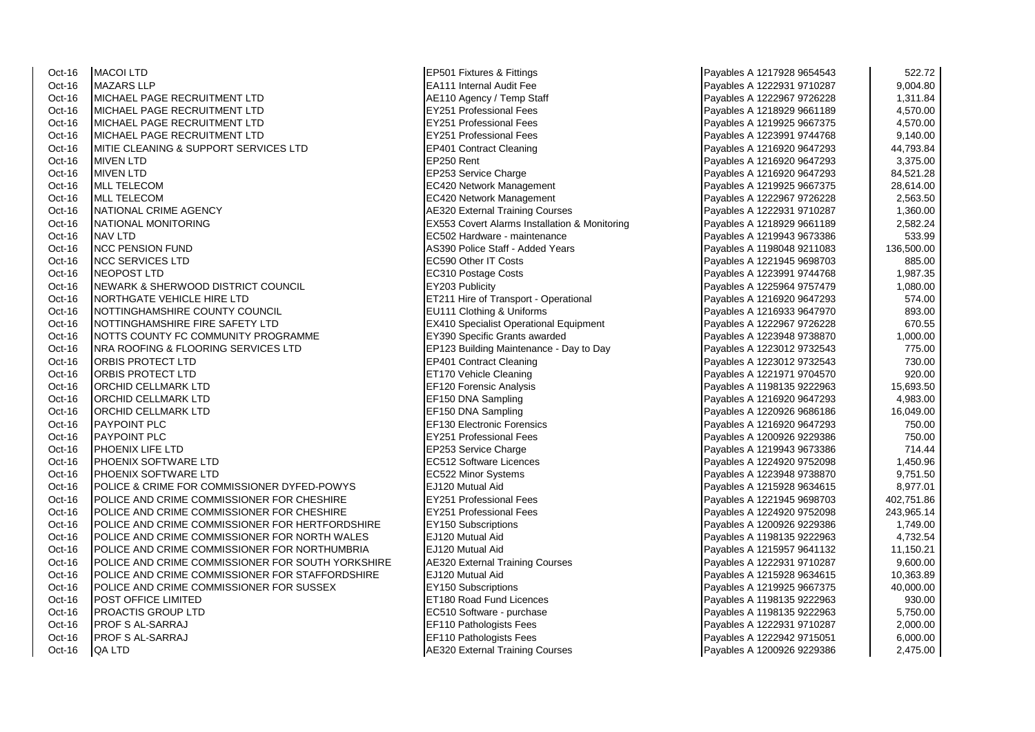Oct-16 MACOI LTD<br>
Oct-16 MAZARS I I P<br>
EA111 Internal Audit Fee Oct-16 MAZARS LLP EA111 Internal Audit Fee Payables A 1222931 9710287 9,004.80 Oct-16 MICHAEL PAGE RECRUITMENT LTD Annual Agency / Temp Staff Payables A 1222967 97267 97267 97267 9726 Oct-16 MICHAEL PAGE RECRUITMENT LTD EXAMPLE THE LATE RESIDENCE PAGE RECRUITMENT LTD Oct-16 MICHAEL PAGE RECRUITMENT LTD **EY251 Professional Fees** Payable 10 MICHAEL PAGE RECRUITMENT LTD **EXAMPLE 1219925** 1,57251 Professional Fees Oct-16 MICHAEL PAGE RECRUITMENT LTD Oct-16 MITIE CLEANING & SUPPORT SERVICES LTD EP401 Contract Cleaning<br>
Oct-16 MIVEN I TD Oct-16 MIVEN LTD EP250 Rent Payables A 1216920 9647293 3,375.00 Oct-16 MIVEN LTD EP253 Service Charge Payables A 1216920 9647293 84,521.28 Oct-16 MLL TELECOM **EXAMPLE A 1219925 28,614.000 PM** EC420 Network Management Oct-16 MLL TELECOM EC420 Network Management Oct-16 NATIONAL CRIME AGENCY AE320 External Training Courses Payables A 1222931 9710287 1,360.00 Oct-16 NATIONAL MONITORING **EX553 Covert Alarms Installation & Monitoring**<br>
Payable **Payable A 1219**<br>
Payable **Payable A 1219** 2,582 Hardware - maintenance Oct-16 NCC PENSION FUND AS390 Police Staff - Added Years A 119804 2011 AS390 Police Staff - Added Years Payables A 119804 9211083 136,500 Police Staff - Added Years Payables A 119804 136,500.0000000000000000000000000000000 Oct-16 NCC SERVICES LTD EC590 Other IT Costs Payables A 1221945 9698703 885.00 Oct-16 NEOPOST LTD EC310 Postage Costs Payables A 1223991 9744768 1,987.35 Oct-16 NEWARK & SHERWOOD DISTRICT COUNCIL FOR THE PAYABLE REVISION Publicity Payables A 12203 Publicity Payable<br>Payable Payable A 12211 Hire of T Oct-16 NOTTINGHAMSHIRE COUNTY COUNCIL EU11 Clothing & Uniforms Payables A 121693 96411 Clothing & Uniforms Payables A 121693 973.000 893.000 893.000 893.000 893.000 893.000 893.000 893.000 893.000 893.000 893.000 893.000 8 Oct-16 NOTTINGHAMSHIRE FIRE SAFETY LTD Oct-16 NOTTS COUNTY FC COMMUNITY PROGRAMME **EX390** Specific Grants awarded Oct-16 NRA ROOFING & FLOORING SERVICES LTD EP123 Building Maintenance - Day to Day<br>Payable Roof ECT LTD EP401 Contract Cleaning Oct-16 ORBIS PROTECT LTD ET170 Vehicle Cleaning Payables A 1221971 9704570 920.00 Oct-16 ORCHID CELLMARK LTD EXAMPLE TO LATER A 120 Forensic Analysis Payable A 129 Forensic Analysis Oct-16 ORCHID CELLMARK LTD EF150 DNA Sampling Oct-16 **ORCHID CELLMARK LTD** EXAMPLE PAYABLES A 1220 **F**F150 DNA Sampling Oct-16 PAYPOINT PLC **EF130 Electronic Forensics** Oct-16 PAYPOINT PLC EY251 Professional Fees Payables A 1200926 9229386 750.00 Oct-16 PHOENIX LIFE LTD EP253 Service Charge Payables A 1219943 9673386 714.44 Oct-16 PHOENIX SOFTWARE LTD **EXAMPLE 2012 Software Licences** Payable 1,450.967 1,450.97520 97520 97520 97520 975 Oct-16 PHOENIX SOFTWARE LTD EC522 Minor Systems Oct-16 POLICE & CRIME FOR COMMISSIONER DYFED-POWYS EJ120 Mutual Aid Oct-16 POLICE AND CRIME COMMISSIONER FOR CHESHIRE **EX251 Professional Fees**<br>Oct-16 POLICE AND CRIME COMMISSIONER FOR CHESHIRE POLICE AND CRIME COMMISSIONER FOR CHESHIRE Oct-16 **POLICE AND CRIME COMMISSIONER FOR HERTFORDSHIRE EXAMPLE PAYABLE PAYABLE PAYABLES ASSESS** Oct-16 POLICE AND CRIME COMMISSIONER FOR NORTH WALES **ELECTS** FOR Mutual Aid Oct-16 POLICE AND CRIME COMMISSIONER FOR NORTHUMBRIA **ELI20** Mutual Aid Oct-16 POLICE AND CRIME COMMISSIONER FOR SOUTH YORKSHIRE AE320 External Training Courses <br>Payable Reserved A 122 Payable R 1220 Bless A 1220 Bless A 1220 Bless A 1220 Mutual Aid POLICE AND CRIME COMMISSIONER FOR STAFFORDSHIRE Oct-16 POLICE AND CRIME COMMISSIONER FOR SUSSEX **EXISTE**Y150 Subscriptions Oct-16 POST OFFICE LIMITED EXAMPLE 2012 12:00 Road Fund Licences Oct-16 PROACTIS GROUP LTD EC510 Software - purchase Oct-16 PROF S AL-SARRAJ EF110 Pathologists Fees Oct-16 PROF S AL-SARRAJ EF110 Pathologists Fees Oct-16 QA LTD AES20 External Training Courses Payables A 1200926 2,4276 9220 External Training Courses

EC502 Hardware - maintenance ET211 Hire of Transport - Operational EP401 Contract Cleaning

| Payables A 1217928 9654543 | 522.72     |
|----------------------------|------------|
| Payables A 1222931 9710287 | 9,004.80   |
| Payables A 1222967 9726228 | 1,311.84   |
| Payables A 1218929 9661189 | 4,570.00   |
| Payables A 1219925 9667375 | 4,570.00   |
| Payables A 1223991 9744768 | 9,140.00   |
| Payables A 1216920 9647293 | 44,793.84  |
| Payables A 1216920 9647293 | 3,375.00   |
| Payables A 1216920 9647293 | 84,521.28  |
| Payables A 1219925 9667375 | 28,614.00  |
| Payables A 1222967 9726228 | 2,563.50   |
| Payables A 1222931 9710287 | 1,360.00   |
| Payables A 1218929 9661189 | 2,582.24   |
| Payables A 1219943 9673386 | 533.99     |
| Payables A 1198048 9211083 | 136,500.00 |
| Payables A 1221945 9698703 | 885.00     |
| Payables A 1223991 9744768 | 1,987.35   |
| Payables A 1225964 9757479 | 1,080.00   |
| Payables A 1216920 9647293 | 574.00     |
| Payables A 1216933 9647970 | 893.00     |
| Payables A 1222967 9726228 | 670.55     |
| Payables A 1223948 9738870 | 1,000.00   |
| Payables A 1223012 9732543 | 775.00     |
| Payables A 1223012 9732543 | 730.00     |
| Payables A 1221971 9704570 | 920.00     |
| Payables A 1198135 9222963 | 15,693.50  |
| Payables A 1216920 9647293 | 4,983.00   |
| Payables A 1220926 9686186 | 16,049.00  |
| Payables A 1216920 9647293 | 750.00     |
| Payables A 1200926 9229386 | 750.00     |
| Payables A 1219943 9673386 | 714.44     |
| Payables A 1224920 9752098 | 1,450.96   |
| Payables A 1223948 9738870 | 9,751.50   |
| Payables A 1215928 9634615 | 8,977.01   |
| Payables A 1221945 9698703 | 402,751.86 |
| Payables A 1224920 9752098 | 243,965.14 |
| Payables A 1200926 9229386 | 1,749.00   |
| Payables A 1198135 9222963 | 4,732.54   |
| Payables A 1215957 9641132 | 11,150.21  |
| Payables A 1222931 9710287 | 9,600.00   |
| Payables A 1215928 9634615 | 10,363.89  |
| Payables A 1219925 9667375 | 40,000.00  |
| Payables A 1198135 9222963 | 930.00     |
| Payables A 1198135 9222963 | 5,750.00   |
| Payables A 1222931 9710287 | 2,000.00   |
| Payables A 1222942 9715051 | 6,000.00   |
| Payables A 1200926 9229386 | 2,475.00   |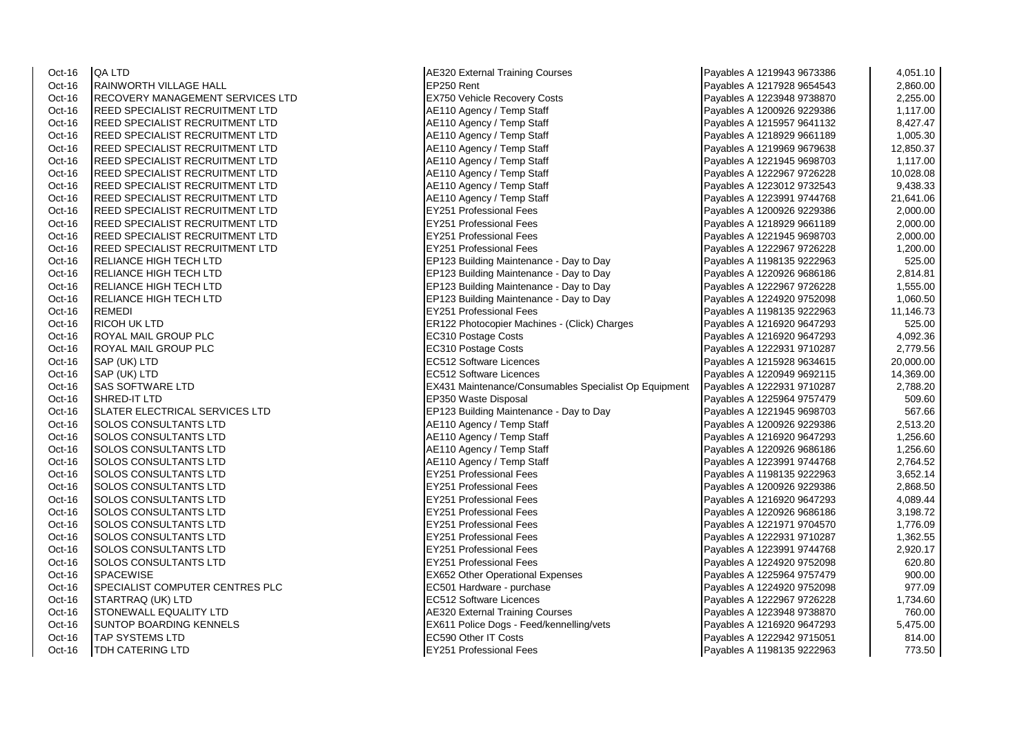| Oct-16 | QA LTD                          |
|--------|---------------------------------|
| Oct-16 | RAINWORTH VILLAGE HALL          |
| Oct-16 | RECOVERY MANAGEMENT SERVICES I  |
| Oct-16 | REED SPECIALIST RECRUITMENT LTD |
| Oct-16 | REED SPECIALIST RECRUITMENT LTD |
| Oct-16 | REED SPECIALIST RECRUITMENT LTD |
| Oct-16 | REED SPECIALIST RECRUITMENT LTD |
| Oct-16 | REED SPECIALIST RECRUITMENT LTD |
| Oct-16 | REED SPECIALIST RECRUITMENT LTD |
| Oct-16 | REED SPECIALIST RECRUITMENT LTD |
| Oct-16 | REED SPECIALIST RECRUITMENT LTD |
| Oct-16 | REED SPECIALIST RECRUITMENT LTD |
| Oct-16 | REED SPECIALIST RECRUITMENT LTD |
| Oct-16 | REED SPECIALIST RECRUITMENT LTD |
| Oct-16 | REED SPECIALIST RECRUITMENT LTD |
| Oct-16 | RELIANCE HIGH TECH LTD          |
| Oct-16 | RELIANCE HIGH TECH LTD          |
| Oct-16 | RELIANCE HIGH TECH LTD          |
| Oct-16 | RELIANCE HIGH TECH LTD          |
| Oct-16 | REMEDI                          |
| Oct-16 | RICOH UK LTD                    |
| Oct-16 | ROYAL MAIL GROUP PLC            |
| Oct-16 | ROYAL MAIL GROUP PLC            |
| Oct-16 | SAP (UK) LTD                    |
| Oct-16 | SAP (UK) LTD                    |
| Oct-16 | SAS SOFTWARE LTD                |
| Oct-16 | SHRED-IT LTD                    |
| Oct-16 | SLATER ELECTRICAL SERVICES LTD  |
| Oct-16 | SOLOS CONSULTANTS LTD           |
| Oct-16 | <b>SOLOS CONSULTANTS LTD</b>    |
| Oct-16 | <b>SOLOS CONSULTANTS LTD</b>    |
| Oct-16 | SOLOS CONSULTANTS LTD           |
| Oct-16 | SOLOS CONSULTANTS LTD           |
| Oct-16 | SOLOS CONSULTANTS LTD           |
| Oct-16 | SOLOS CONSULTANTS LTD           |
| Oct-16 | <b>SOLOS CONSULTANTS LTD</b>    |
| Oct-16 | SOLOS CONSULTANTS LTD           |
| Oct-16 | SOLOS CONSULTANTS LTD           |
| Oct-16 | <b>SOLOS CONSULTANTS LTD</b>    |
| Oct-16 | SOLOS CONSULTANTS LTD           |
| Oct-16 | SPACEWISE                       |
| Oct-16 | SPECIALIST COMPUTER CENTRES PLO |
| Oct-16 | STARTRAQ (UK) LTD               |
| Oct-16 | STONEWALL EQUALITY LTD          |
| Oct-16 | <b>SUNTOP BOARDING KENNELS</b>  |
| Oct-16 | TAP SYSTEMS LTD                 |
| ∩rt-16 | TDH CATERING I TD               |

| Oct-16           | <b>QA LTD</b>                          | <b>AE320 External Training Courses</b>                | Payables A 1219943 9673386 | 4,051.10  |
|------------------|----------------------------------------|-------------------------------------------------------|----------------------------|-----------|
| Oct-16           | <b>RAINWORTH VILLAGE HALL</b>          | EP250 Rent                                            | Payables A 1217928 9654543 | 2,860.00  |
| Oct-16           | IRECOVERY MANAGEMENT SERVICES LTD      | <b>EX750 Vehicle Recovery Costs</b>                   | Payables A 1223948 9738870 | 2,255.00  |
| Oct-16           | <b>REED SPECIALIST RECRUITMENT LTD</b> | AE110 Agency / Temp Staff                             | Payables A 1200926 9229386 | 1,117.00  |
| Oct-16           | <b>REED SPECIALIST RECRUITMENT LTD</b> | AE110 Agency / Temp Staff                             | Payables A 1215957 9641132 | 8,427.47  |
| Oct-16           | <b>REED SPECIALIST RECRUITMENT LTD</b> | AE110 Agency / Temp Staff                             | Payables A 1218929 9661189 | 1,005.30  |
| Oct-16           | REED SPECIALIST RECRUITMENT LTD        | AE110 Agency / Temp Staff                             | Payables A 1219969 9679638 | 12,850.37 |
| Oct-16           | <b>REED SPECIALIST RECRUITMENT LTD</b> | AE110 Agency / Temp Staff                             | Payables A 1221945 9698703 | 1,117.00  |
| Oct-16           | <b>REED SPECIALIST RECRUITMENT LTD</b> | AE110 Agency / Temp Staff                             | Payables A 1222967 9726228 | 10,028.08 |
| Oct-16           | <b>REED SPECIALIST RECRUITMENT LTD</b> | AE110 Agency / Temp Staff                             | Payables A 1223012 9732543 | 9,438.33  |
| Oct-16           | <b>REED SPECIALIST RECRUITMENT LTD</b> | AE110 Agency / Temp Staff                             | Payables A 1223991 9744768 | 21,641.06 |
| Oct-16           | <b>REED SPECIALIST RECRUITMENT LTD</b> | <b>EY251 Professional Fees</b>                        | Payables A 1200926 9229386 | 2,000.00  |
| Oct-16           | <b>REED SPECIALIST RECRUITMENT LTD</b> | <b>EY251 Professional Fees</b>                        | Payables A 1218929 9661189 | 2,000.00  |
| Oct-16           | <b>REED SPECIALIST RECRUITMENT LTD</b> | <b>EY251 Professional Fees</b>                        | Payables A 1221945 9698703 | 2,000.00  |
| Oct-16           | REED SPECIALIST RECRUITMENT LTD        | <b>EY251 Professional Fees</b>                        | Payables A 1222967 9726228 | 1,200.00  |
| Oct-16           | <b>RELIANCE HIGH TECH LTD</b>          | EP123 Building Maintenance - Day to Day               | Payables A 1198135 9222963 | 525.00    |
| Oct-16           | <b>RELIANCE HIGH TECH LTD</b>          | EP123 Building Maintenance - Day to Day               | Payables A 1220926 9686186 | 2,814.81  |
| Oct-16           | <b>RELIANCE HIGH TECH LTD</b>          | EP123 Building Maintenance - Day to Day               | Payables A 1222967 9726228 | 1,555.00  |
| Oct-16           | <b>RELIANCE HIGH TECH LTD</b>          | EP123 Building Maintenance - Day to Day               | Payables A 1224920 9752098 | 1,060.50  |
| Oct-16           | <b>REMEDI</b>                          | <b>EY251 Professional Fees</b>                        | Payables A 1198135 9222963 | 11,146.73 |
| Oct-16           | <b>RICOH UK LTD</b>                    | ER122 Photocopier Machines - (Click) Charges          | Payables A 1216920 9647293 | 525.00    |
| Oct-16           | <b>ROYAL MAIL GROUP PLC</b>            | EC310 Postage Costs                                   | Payables A 1216920 9647293 | 4,092.36  |
|                  | <b>ROYAL MAIL GROUP PLC</b>            | EC310 Postage Costs                                   |                            | 2,779.56  |
| Oct-16<br>Oct-16 | SAP (UK) LTD                           | <b>EC512 Software Licences</b>                        | Payables A 1222931 9710287 | 20,000.00 |
|                  |                                        | EC512 Software Licences                               | Payables A 1215928 9634615 |           |
| Oct-16           | SAP (UK) LTD                           |                                                       | Payables A 1220949 9692115 | 14,369.00 |
| Oct-16           | <b>SAS SOFTWARE LTD</b>                | EX431 Maintenance/Consumables Specialist Op Equipment | Payables A 1222931 9710287 | 2,788.20  |
| Oct-16           | <b>SHRED-IT LTD</b>                    | EP350 Waste Disposal                                  | Payables A 1225964 9757479 | 509.60    |
| Oct-16           | SLATER ELECTRICAL SERVICES LTD         | EP123 Building Maintenance - Day to Day               | Payables A 1221945 9698703 | 567.66    |
| Oct-16           | SOLOS CONSULTANTS LTD                  | AE110 Agency / Temp Staff                             | Payables A 1200926 9229386 | 2,513.20  |
| Oct-16           | <b>SOLOS CONSULTANTS LTD</b>           | AE110 Agency / Temp Staff                             | Payables A 1216920 9647293 | 1,256.60  |
| Oct-16           | <b>SOLOS CONSULTANTS LTD</b>           | AE110 Agency / Temp Staff                             | Payables A 1220926 9686186 | 1,256.60  |
| Oct-16           | <b>SOLOS CONSULTANTS LTD</b>           | AE110 Agency / Temp Staff                             | Payables A 1223991 9744768 | 2,764.52  |
| Oct-16           | <b>SOLOS CONSULTANTS LTD</b>           | EY251 Professional Fees                               | Payables A 1198135 9222963 | 3,652.14  |
| Oct-16           | <b>SOLOS CONSULTANTS LTD</b>           | <b>EY251 Professional Fees</b>                        | Payables A 1200926 9229386 | 2,868.50  |
| Oct-16           | <b>SOLOS CONSULTANTS LTD</b>           | <b>EY251 Professional Fees</b>                        | Payables A 1216920 9647293 | 4,089.44  |
| Oct-16           | <b>SOLOS CONSULTANTS LTD</b>           | <b>EY251 Professional Fees</b>                        | Payables A 1220926 9686186 | 3,198.72  |
| Oct-16           | <b>SOLOS CONSULTANTS LTD</b>           | <b>EY251 Professional Fees</b>                        | Payables A 1221971 9704570 | 1,776.09  |
| Oct-16           | <b>SOLOS CONSULTANTS LTD</b>           | <b>EY251 Professional Fees</b>                        | Payables A 1222931 9710287 | 1,362.55  |
| Oct-16           | <b>SOLOS CONSULTANTS LTD</b>           | <b>EY251 Professional Fees</b>                        | Payables A 1223991 9744768 | 2,920.17  |
| Oct-16           | <b>SOLOS CONSULTANTS LTD</b>           | <b>EY251 Professional Fees</b>                        | Payables A 1224920 9752098 | 620.80    |
| Oct-16           | <b>SPACEWISE</b>                       | <b>EX652 Other Operational Expenses</b>               | Payables A 1225964 9757479 | 900.00    |
| Oct-16           | <b>SPECIALIST COMPUTER CENTRES PLC</b> | EC501 Hardware - purchase                             | Payables A 1224920 9752098 | 977.09    |
| Oct-16           | STARTRAQ (UK) LTD                      | <b>EC512 Software Licences</b>                        | Payables A 1222967 9726228 | 1,734.60  |
| Oct-16           | STONEWALL EQUALITY LTD                 | <b>AE320 External Training Courses</b>                | Payables A 1223948 9738870 | 760.00    |
| Oct-16           | SUNTOP BOARDING KENNELS                | EX611 Police Dogs - Feed/kennelling/vets              | Payables A 1216920 9647293 | 5,475.00  |
| Oct-16           | <b>TAP SYSTEMS LTD</b>                 | <b>EC590 Other IT Costs</b>                           | Payables A 1222942 9715051 | 814.00    |
| Oct-16           | <b>TDH CATERING LTD</b>                | <b>EY251 Professional Fees</b>                        | Payables A 1198135 9222963 | 773.50    |

| ayables A 1219943 9673386                               | 4,051.10             |
|---------------------------------------------------------|----------------------|
| ayables A 1217928 9654543                               | 2,860.00             |
| ayables A 1223948 9738870                               | 2,255.00             |
| Payables A 1200926 9229386                              | 1,117.00             |
| ayables A 1215957 9641132                               | 8,427.47             |
| Payables A 1218929 9661189                              | 1,005.30             |
| Payables A 1219969 9679638                              | 12,850.37            |
| ayables A 1221945 9698703                               | 1,117.00             |
| ayables A 1222967 9726228                               | 10,028.08            |
| Payables A 1223012 9732543                              | 9,438.33             |
| ayables A 1223991 9744768                               | 21,641.06            |
| ayables A 1200926 9229386                               | 2,000.00             |
| Payables A 1218929 9661189                              | 2,000.00             |
| ayables A 1221945 9698703                               | 2,000.00             |
| ayables A 1222967 9726228                               | 1,200.00             |
| ayables A 1198135 9222963                               | 525.00               |
| ayables A 1220926 9686186                               | 2,814.81             |
| ayables A 1222967 9726228                               | 1,555.00             |
| ayables A 1224920 9752098                               | 1,060.50             |
| Payables A 1198135 9222963                              | 11,146.73            |
| Payables A 1216920 9647293                              | 525.00               |
| Payables A 1216920 9647293                              | 4,092.36             |
| Payables A 1222931 9710287                              | 2,779.56             |
| ayables A 1215928 9634615                               | 20,000.00            |
| ayables A 1220949 9692115                               | 14,369.00            |
| Payables A 1222931 9710287                              | 2,788.20             |
| ayables A 1225964 9757479                               | 509.60               |
| ayables A 1221945 9698703                               | 567.66               |
| Payables A 1200926 9229386                              | 2,513.20             |
| Payables A 1216920 9647293                              | 1,256.60             |
| ayables A 1220926 9686186                               | 1,256.60             |
| Payables A 1223991 9744768                              | 2,764.52             |
| Payables A 1198135 9222963<br>ayables A 1200926 9229386 | 3,652.14             |
|                                                         | 2,868.50             |
| Payables A 1216920 9647293<br>ayables A 1220926 9686186 | 4,089.44<br>3,198.72 |
| Payables A 1221971 9704570                              | 1,776.09             |
| ayables A 1222931 9710287                               | 1,362.55             |
| ayables A 1223991 9744768                               | 2,920.17             |
| ayables A 1224920 9752098                               | 620.80               |
| ayables A 1225964 9757479                               | 900.00               |
| ayables A 1224920 9752098                               | 977.09               |
| Payables A 1222967 9726228                              | 1,734.60             |
| Payables A 1223948 9738870                              | 760.00               |
| Payables A 1216920 9647293                              | 5,475.00             |
| Payables A 1222942 9715051                              | 814.00               |
| Payables A 1198135 9222963                              | 773.50               |
|                                                         |                      |